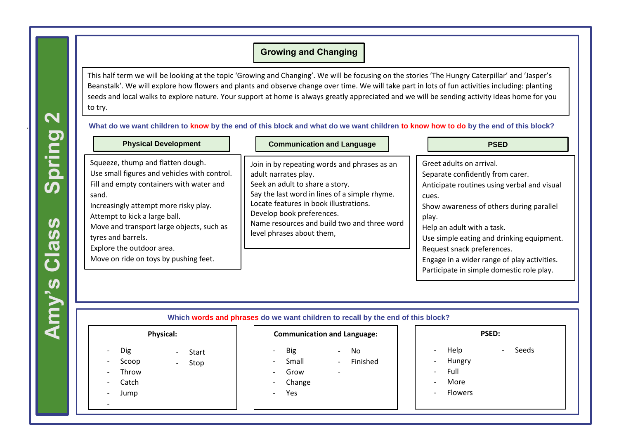## **Growing and Changing**

This half term we will be looking at the topic 'Growing and Changing'. We will be focusing on the stories 'The Hungry Caterpillar' and 'Jasper's Beanstalk'. We will explore how flowers and plants and observe change over time. We will take part in lots of fun activities including: planting seeds and local walks to explore nature. Your support at home is always greatly appreciated and we will be sending activity ideas home for you to try.

**What do we want children to know by the end of this block and what do we want children to know how to do by the end of this block?**

| <b>Physical Development</b>                                                                                                                                                                                                                                                                                                                               | <b>Communication and Language</b>                                                                                                                                                                                                                                                                           | <b>PSED</b>                                                                                                                                                                                                                                                                                                                                                                    |
|-----------------------------------------------------------------------------------------------------------------------------------------------------------------------------------------------------------------------------------------------------------------------------------------------------------------------------------------------------------|-------------------------------------------------------------------------------------------------------------------------------------------------------------------------------------------------------------------------------------------------------------------------------------------------------------|--------------------------------------------------------------------------------------------------------------------------------------------------------------------------------------------------------------------------------------------------------------------------------------------------------------------------------------------------------------------------------|
| Squeeze, thump and flatten dough.<br>Use small figures and vehicles with control.<br>Fill and empty containers with water and<br>sand.<br>Increasingly attempt more risky play.<br>Attempt to kick a large ball.<br>Move and transport large objects, such as<br>tyres and barrels.<br>Explore the outdoor area.<br>Move on ride on toys by pushing feet. | Join in by repeating words and phrases as an<br>adult narrates play.<br>Seek an adult to share a story.<br>Say the last word in lines of a simple rhyme.<br>Locate features in book illustrations.<br>Develop book preferences.<br>Name resources and build two and three word<br>level phrases about them, | Greet adults on arrival.<br>Separate confidently from carer.<br>Anticipate routines using verbal and visual<br>cues.<br>Show awareness of others during parallel<br>play.<br>Help an adult with a task.<br>Use simple eating and drinking equipment.<br>Request snack preferences.<br>Engage in a wider range of play activities.<br>Participate in simple domestic role play. |

| <b>Physical:</b>                                                                                                                                                                                                                     | <b>Communication and Language:</b>                                                                                                                                                                                                                                           | <b>PSED:</b>                                                                                                                                                              |
|--------------------------------------------------------------------------------------------------------------------------------------------------------------------------------------------------------------------------------------|------------------------------------------------------------------------------------------------------------------------------------------------------------------------------------------------------------------------------------------------------------------------------|---------------------------------------------------------------------------------------------------------------------------------------------------------------------------|
| Dig<br>Start<br>-<br>$\overline{\phantom{a}}$<br>Scoop<br>$\overline{\phantom{a}}$<br>Stop<br>$\overline{\phantom{a}}$<br>Throw<br>$\overline{\phantom{a}}$<br>Catch<br>$\overline{\phantom{a}}$<br>Jump<br>$\overline{\phantom{a}}$ | <b>Big</b><br>No<br>$\overline{\phantom{a}}$<br>$\overline{\phantom{a}}$<br>Small<br>Finished<br>$\overline{\phantom{0}}$<br>$\sim$<br>Grow<br>$\overline{\phantom{0}}$<br>$\overline{\phantom{0}}$<br>Change<br>$\overline{\phantom{0}}$<br>Yes<br>$\overline{\phantom{0}}$ | Help<br>Seeds<br>Hungry<br>$\overline{\phantom{a}}$<br>Full<br>$\overline{\phantom{a}}$<br>More<br>$\overline{\phantom{a}}$<br><b>Flowers</b><br>$\overline{\phantom{0}}$ |

Process three step instructions. **Amy's Class Spring 2**

 $\bf1$   $\bf1$